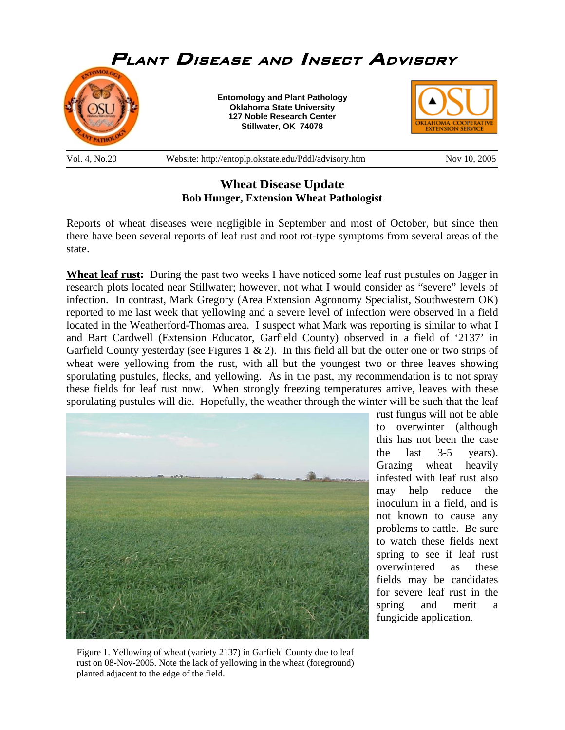

## **Wheat Disease Update Bob Hunger, Extension Wheat Pathologist**

Reports of wheat diseases were negligible in September and most of October, but since then there have been several reports of leaf rust and root rot-type symptoms from several areas of the state.

**Wheat leaf rust:** During the past two weeks I have noticed some leaf rust pustules on Jagger in research plots located near Stillwater; however, not what I would consider as "severe" levels of infection. In contrast, Mark Gregory (Area Extension Agronomy Specialist, Southwestern OK) reported to me last week that yellowing and a severe level of infection were observed in a field located in the Weatherford-Thomas area. I suspect what Mark was reporting is similar to what I and Bart Cardwell (Extension Educator, Garfield County) observed in a field of '2137' in Garfield County yesterday (see Figures 1  $\&$  2). In this field all but the outer one or two strips of wheat were yellowing from the rust, with all but the youngest two or three leaves showing sporulating pustules, flecks, and yellowing. As in the past, my recommendation is to not spray these fields for leaf rust now. When strongly freezing temperatures arrive, leaves with these sporulating pustules will die. Hopefully, the weather through the winter will be such that the leaf



rust fungus will not be able to overwinter (although this has not been the case the last 3-5 years). Grazing wheat heavily infested with leaf rust also may help reduce the inoculum in a field, and is not known to cause any problems to cattle. Be sure to watch these fields next spring to see if leaf rust overwintered as these fields may be candidates for severe leaf rust in the spring and merit a fungicide application.

Figure 1. Yellowing of wheat (variety 2137) in Garfield County due to leaf rust on 08-Nov-2005. Note the lack of yellowing in the wheat (foreground) planted adjacent to the edge of the field.